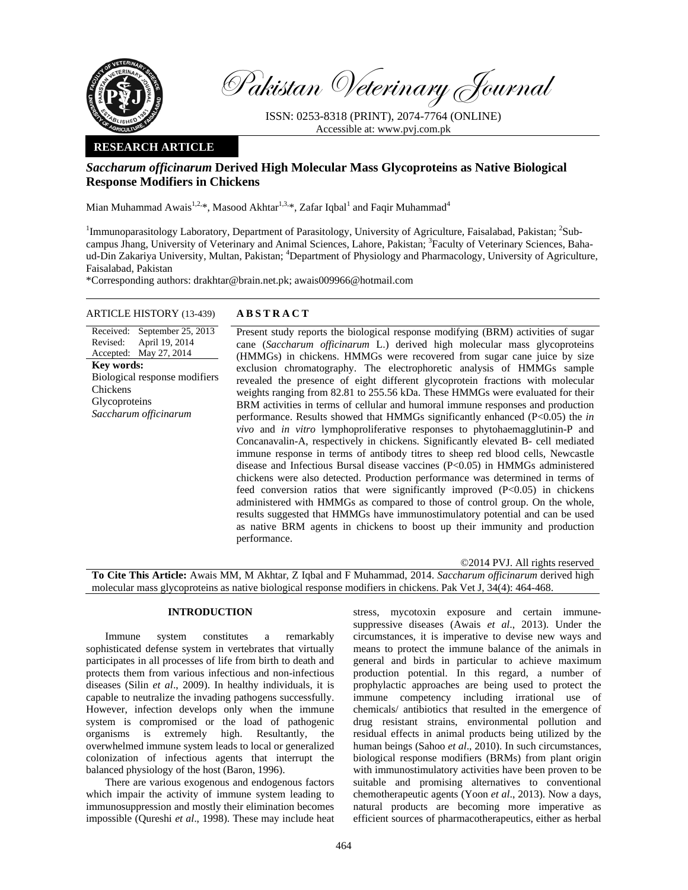

Pakistan Veterinary Journal

ISSN: 0253-8318 (PRINT), 2074-7764 (ONLINE) Accessible at: www.pvj.com.pk

# **RESEARCH ARTICLE**

# *Saccharum officinarum* **Derived High Molecular Mass Glycoproteins as Native Biological Response Modifiers in Chickens**

Mian Muhammad Awais $^{1,2,*}$ , Masood Akhtar $^{1,3,*}$ , Zafar Iqbal $^1$  and Faqir Muhammad $^4$ 

<sup>1</sup>Immunoparasitology Laboratory, Department of Parasitology, University of Agriculture, Faisalabad, Pakistan; <sup>2</sup>Subcampus Jhang, University of Veterinary and Animal Sciences, Lahore, Pakistan; <sup>3</sup>Faculty of Veterinary Sciences, Bahaud-Din Zakariya University, Multan, Pakistan; <sup>4</sup>Department of Physiology and Pharmacology, University of Agriculture, Faisalabad, Pakistan

\*Corresponding authors: drakhtar@brain.net.pk; awais009966@hotmail.com

## ARTICLE HISTORY (13-439) **ABSTRACT**

### Received: September 25, 2013 Revised: Accepted: May 27, 2014 April 19, 2014 **Key words:**  Biological response modifiers Chickens Glycoproteins *Saccharum officinarum*

 Present study reports the biological response modifying (BRM) activities of sugar cane (*Saccharum officinarum* L.) derived high molecular mass glycoproteins (HMMGs) in chickens. HMMGs were recovered from sugar cane juice by size exclusion chromatography. The electrophoretic analysis of HMMGs sample revealed the presence of eight different glycoprotein fractions with molecular weights ranging from 82.81 to 255.56 kDa. These HMMGs were evaluated for their BRM activities in terms of cellular and humoral immune responses and production performance. Results showed that HMMGs significantly enhanced (P<0.05) the *in vivo* and *in vitro* lymphoproliferative responses to phytohaemagglutinin-P and Concanavalin-A, respectively in chickens. Significantly elevated B- cell mediated immune response in terms of antibody titres to sheep red blood cells, Newcastle disease and Infectious Bursal disease vaccines (P<0.05) in HMMGs administered chickens were also detected. Production performance was determined in terms of feed conversion ratios that were significantly improved  $(P<0.05)$  in chickens administered with HMMGs as compared to those of control group. On the whole, results suggested that HMMGs have immunostimulatory potential and can be used as native BRM agents in chickens to boost up their immunity and production performance.

©2014 PVJ. All rights reserved

**To Cite This Article:** Awais MM, M Akhtar, Z Iqbal and F Muhammad, 2014. *Saccharum officinarum* derived high molecular mass glycoproteins as native biological response modifiers in chickens. Pak Vet J, 34(4): 464-468.

### **INTRODUCTION**

Immune system constitutes a remarkably sophisticated defense system in vertebrates that virtually participates in all processes of life from birth to death and protects them from various infectious and non-infectious diseases (Silin *et al*., 2009). In healthy individuals, it is capable to neutralize the invading pathogens successfully. However, infection develops only when the immune system is compromised or the load of pathogenic organisms is extremely high. Resultantly, the overwhelmed immune system leads to local or generalized colonization of infectious agents that interrupt the balanced physiology of the host (Baron, 1996).

There are various exogenous and endogenous factors which impair the activity of immune system leading to immunosuppression and mostly their elimination becomes impossible (Qureshi *et al*., 1998). These may include heat

stress, mycotoxin exposure and certain immunesuppressive diseases (Awais *et al*., 2013). Under the circumstances, it is imperative to devise new ways and means to protect the immune balance of the animals in general and birds in particular to achieve maximum production potential. In this regard, a number of prophylactic approaches are being used to protect the immune competency including irrational use of chemicals/ antibiotics that resulted in the emergence of drug resistant strains, environmental pollution and residual effects in animal products being utilized by the human beings (Sahoo *et al*., 2010). In such circumstances, biological response modifiers (BRMs) from plant origin with immunostimulatory activities have been proven to be suitable and promising alternatives to conventional chemotherapeutic agents (Yoon *et al*., 2013). Now a days, natural products are becoming more imperative as efficient sources of pharmacotherapeutics, either as herbal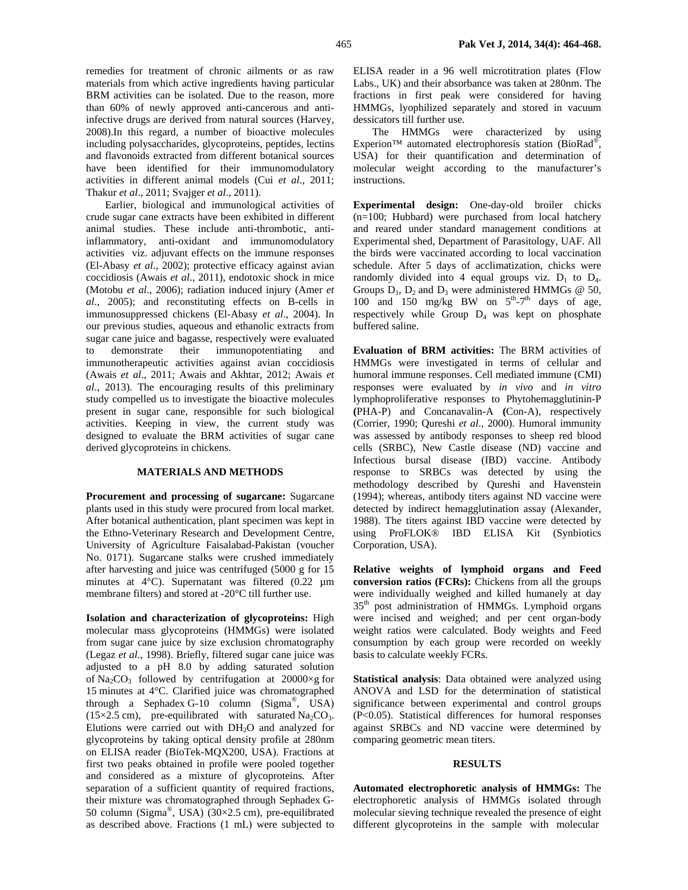remedies for treatment of chronic ailments or as raw materials from which active ingredients having particular BRM activities can be isolated. Due to the reason, more than 60% of newly approved anti-cancerous and antiinfective drugs are derived from natural sources (Harvey, 2008).In this regard, a number of bioactive molecules including polysaccharides, glycoproteins, peptides, lectins and flavonoids extracted from different botanical sources have been identified for their immunomodulatory activities in different animal models (Cui *et al*., 2011; Thakur *et al*., 2011; Svajger *et al*., 2011).

Earlier, biological and immunological activities of crude sugar cane extracts have been exhibited in different animal studies. These include anti-thrombotic, antiinflammatory, anti-oxidant and immunomodulatory activities viz. adjuvant effects on the immune responses (El-Abasy *et al*., 2002); protective efficacy against avian coccidiosis (Awais *et al*., 2011), endotoxic shock in mice (Motobu *et al*., 2006); radiation induced injury (Amer *et al*., 2005); and reconstituting effects on B-cells in immunosuppressed chickens (El-Abasy *et al*., 2004). In our previous studies, aqueous and ethanolic extracts from sugar cane juice and bagasse, respectively were evaluated to demonstrate their immunopotentiating and immunotherapeutic activities against avian coccidiosis (Awais *et al*., 2011; Awais and Akhtar, 2012; Awais *et al*., 2013). The encouraging results of this preliminary study compelled us to investigate the bioactive molecules present in sugar cane, responsible for such biological activities. Keeping in view, the current study was designed to evaluate the BRM activities of sugar cane derived glycoproteins in chickens.

### **MATERIALS AND METHODS**

**Procurement and processing of sugarcane:** Sugarcane plants used in this study were procured from local market. After botanical authentication, plant specimen was kept in the Ethno-Veterinary Research and Development Centre, University of Agriculture Faisalabad-Pakistan (voucher No. 0171). Sugarcane stalks were crushed immediately after harvesting and juice was centrifuged (5000 g for 15 minutes at 4°C). Supernatant was filtered (0.22  $\mu$ m membrane filters) and stored at -20°C till further use.

**Isolation and characterization of glycoproteins:** High molecular mass glycoproteins (HMMGs) were isolated from sugar cane juice by size exclusion chromatography (Legaz *et al*., 1998). Briefly, filtered sugar cane juice was adjusted to a pH 8.0 by adding saturated solution of Na<sub>2</sub>CO<sub>3</sub> followed by centrifugation at 20000×g for 15 minutes at 4°C. Clarified juice was chromatographed through a Sephadex G-10 column  $(Sigma^{\circ})$ , USA)  $(15\times2.5 \text{ cm})$ , pre-equilibrated with saturated Na<sub>2</sub>CO<sub>3</sub>. Elutions were carried out with  $DH<sub>2</sub>O$  and analyzed for glycoproteins by taking optical density profile at 280nm on ELISA reader (BioTek-MQX200, USA). Fractions at first two peaks obtained in profile were pooled together and considered as a mixture of glycoproteins. After separation of a sufficient quantity of required fractions, their mixture was chromatographed through Sephadex G-50 column (Sigma<sup>®</sup>, USA) (30×2.5 cm), pre-equilibrated as described above. Fractions (1 mL) were subjected to

ELISA reader in a 96 well microtitration plates (Flow Labs., UK) and their absorbance was taken at 280nm. The fractions in first peak were considered for having HMMGs, lyophilized separately and stored in vacuum dessicators till further use.

The HMMGs were characterized by using Experion™ automated electrophoresis station (BioRad®, USA) for their quantification and determination of molecular weight according to the manufacturer's instructions.

**Experimental design:** One-day-old broiler chicks (n=100; Hubbard) were purchased from local hatchery and reared under standard management conditions at Experimental shed, Department of Parasitology, UAF. All the birds were vaccinated according to local vaccination schedule. After 5 days of acclimatization, chicks were randomly divided into 4 equal groups viz.  $D_1$  to  $D_4$ . Groups  $D_1$ ,  $D_2$  and  $D_3$  were administered HMMGs @ 50, 100 and 150 mg/kg BW on  $5<sup>th</sup>-7<sup>th</sup>$  days of age, respectively while Group  $D_4$  was kept on phosphate buffered saline.

**Evaluation of BRM activities:** The BRM activities of HMMGs were investigated in terms of cellular and humoral immune responses. Cell mediated immune (CMI) responses were evaluated by *in vivo* and *in vitro* lymphoproliferative responses to Phytohemagglutinin-P **(**PHA-P) and Concanavalin-A **(**Con-A), respectively (Corrier, 1990; Qureshi *et al*., 2000). Humoral immunity was assessed by antibody responses to sheep red blood cells (SRBC), New Castle disease (ND) vaccine and Infectious bursal disease (IBD) vaccine. Antibody response to SRBCs was detected by using the methodology described by Qureshi and Havenstein (1994); whereas, antibody titers against ND vaccine were detected by indirect hemagglutination assay (Alexander, 1988). The titers against IBD vaccine were detected by using ProFLOK® IBD ELISA Kit (Synbiotics Corporation, USA).

**Relative weights of lymphoid organs and Feed conversion ratios (FCRs):** Chickens from all the groups were individually weighed and killed humanely at day 35<sup>th</sup> post administration of HMMGs. Lymphoid organs were incised and weighed; and per cent organ-body weight ratios were calculated. Body weights and Feed consumption by each group were recorded on weekly basis to calculate weekly FCRs.

**Statistical analysis**: Data obtained were analyzed using ANOVA and LSD for the determination of statistical significance between experimental and control groups (P<0.05). Statistical differences for humoral responses against SRBCs and ND vaccine were determined by comparing geometric mean titers.

### **RESULTS**

**Automated electrophoretic analysis of HMMGs:** The electrophoretic analysis of HMMGs isolated through molecular sieving technique revealed the presence of eight different glycoproteins in the sample with molecular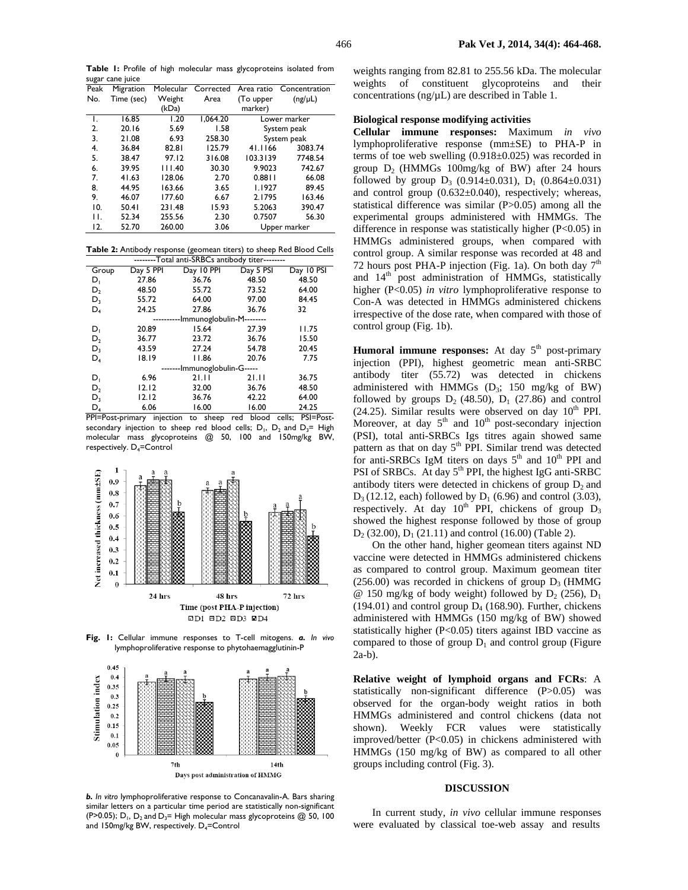**Table 1:** Profile of high molecular mass glycoproteins isolated from sugar cane juice

| Peak | Migration  | Molecular | Corrected | Area ratio   | Concentration |
|------|------------|-----------|-----------|--------------|---------------|
| No.  | Time (sec) | Weight    | Area      | (To upper    | $(ng/\mu L)$  |
|      |            | (kDa)     |           | marker)      |               |
| ۱.   | 16.85      | 1.20      | 1,064.20  | Lower marker |               |
| 2.   | 20.16      | 5.69      | 1.58      | System peak  |               |
| 3.   | 21.08      | 6.93      | 258.30    | System peak  |               |
| 4.   | 36.84      | 82.81     | 125.79    | 41.1166      | 3083.74       |
| 5.   | 38.47      | 97.12     | 316.08    | 103.3139     | 7748.54       |
| 6.   | 39.95      | 111.40    | 30.30     | 9.9023       | 742.67        |
| 7.   | 41.63      | 128.06    | 2.70      | 0.8811       | 66.08         |
| 8.   | 44.95      | 163.66    | 3.65      | 1.1927       | 89.45         |
| 9.   | 46.07      | 177.60    | 6.67      | 2.1795       | 163.46        |
| 10.  | 50.41      | 231.48    | 15.93     | 5.2063       | 390.47        |
| П.   | 52.34      | 255.56    | 2.30      | 0.7507       | 56.30         |
| 12.  | 52.70      | 260.00    | 3.06      | Upper marker |               |

**Table 2:** Antibody response (geomean titers) to sheep Red Blood Cells

| --------Total anti-SRBCs antibody titer-------- |           |            |           |            |  |  |  |  |
|-------------------------------------------------|-----------|------------|-----------|------------|--|--|--|--|
| Group                                           | Day 5 PPI | Day 10 PPI | Day 5 PSI | Day 10 PSI |  |  |  |  |
| D,                                              | 27.86     | 36.76      | 48.50     | 48.50      |  |  |  |  |
| $D_2$                                           | 48.50     | 55.72      | 73.52     | 64.00      |  |  |  |  |
| $D_3$                                           | 55.72     | 64.00      | 97.00     | 84.45      |  |  |  |  |
| $D_4$                                           | 24.25     | 27.86      | 36.76     | 32         |  |  |  |  |
| ----------Immunoglobulin-M--------              |           |            |           |            |  |  |  |  |
| D,                                              | 20.89     | 15.64      | 27.39     | 11.75      |  |  |  |  |
| $D_2$                                           | 36.77     | 23.72      | 36.76     | 15.50      |  |  |  |  |
| $D_3$                                           | 43.59     | 27.24      | 54.78     | 20.45      |  |  |  |  |
| $D_4$                                           | 18.19     | 11.86      | 20.76     | 7.75       |  |  |  |  |
| -------Immunoglobulin-G-----                    |           |            |           |            |  |  |  |  |
| D,                                              | 6.96      | 21.11      | 21.11     | 36.75      |  |  |  |  |
| D,                                              | 12.12     | 32.00      | 36.76     | 48.50      |  |  |  |  |
| $D_{3}$                                         | 12.12     | 36.76      | 42.22     | 64.00      |  |  |  |  |
| $D_4$                                           | 6.06      | 16.00      | 16.00     | 24.25      |  |  |  |  |

PPI=Post-primary injection to sheep red blood cells; PSI=Postsecondary injection to sheep red blood cells;  $D_1$ ,  $D_2$  and  $D_3$ = High molecular mass glycoproteins @ 50, 100 and 150mg/kg BW, respectively. D<sub>4</sub>=Control



**Fig. 1:** Cellular immune responses to T-cell mitogens. *a. In vivo* lymphoproliferative response to phytohaemagglutinin-P



*b. In vitro* lymphoproliferative response to Concanavalin-A. Bars sharing similar letters on a particular time period are statistically non-significant (P>0.05);  $D_1$ ,  $D_2$  and  $D_3$ = High molecular mass glycoproteins @ 50, 100 and 150mg/kg BW, respectively.  $D_4$ =Control

weights ranging from 82.81 to 255.56 kDa. The molecular weights of constituent glycoproteins and their concentrations (ng/µL) are described in Table 1.

### **Biological response modifying activities**

**Cellular immune responses:** Maximum *in vivo* lymphoproliferative response (mm±SE) to PHA-P in terms of toe web swelling  $(0.918\pm0.025)$  was recorded in group  $D_2$  (HMMGs 100mg/kg of BW) after 24 hours followed by group  $D_3$  (0.914±0.031),  $D_1$  (0.864±0.031) and control group  $(0.632 \pm 0.040)$ , respectively; whereas, statistical difference was similar (P>0.05) among all the experimental groups administered with HMMGs. The difference in response was statistically higher (P<0.05) in HMMGs administered groups, when compared with control group. A similar response was recorded at 48 and 72 hours post PHA-P injection (Fig. 1a). On both day  $7<sup>th</sup>$ and  $14<sup>th</sup>$  post administration of HMMGs, statistically higher (P<0.05) *in vitro* lymphoproliferative response to Con-A was detected in HMMGs administered chickens irrespective of the dose rate, when compared with those of control group (Fig. 1b).

**Humoral immune responses:** At day  $5<sup>th</sup>$  post-primary injection (PPI), highest geometric mean anti-SRBC antibody titer (55.72) was detected in chickens administered with HMMGs  $(D_3; 150 \text{ mg/kg of BW})$ followed by groups  $D_2$  (48.50),  $D_1$  (27.86) and control  $(24.25)$ . Similar results were observed on day  $10^{th}$  PPI. Moreover, at day  $5<sup>th</sup>$  and  $10<sup>th</sup>$  post-secondary injection (PSI), total anti-SRBCs Igs titres again showed same pattern as that on day  $5<sup>th</sup>$  PPI. Similar trend was detected for anti-SRBCs IgM titers on days  $5<sup>th</sup>$  and  $10<sup>th</sup>$  PPI and PSI of SRBCs. At day  $5<sup>th</sup>$  PPI, the highest IgG anti-SRBC antibody titers were detected in chickens of group  $D_2$  and  $D_3$  (12.12, each) followed by  $D_1$  (6.96) and control (3.03), respectively. At day  $10^{th}$  PPI, chickens of group  $D_3$ showed the highest response followed by those of group  $D_2$  (32.00),  $D_1$  (21.11) and control (16.00) (Table 2).

On the other hand, higher geomean titers against ND vaccine were detected in HMMGs administered chickens as compared to control group. Maximum geomean titer  $(256.00)$  was recorded in chickens of group  $D_3$  (HMMG) @ 150 mg/kg of body weight) followed by  $D_2$  (256),  $D_1$ (194.01) and control group  $D_4$  (168.90). Further, chickens administered with HMMGs (150 mg/kg of BW) showed statistically higher (P<0.05) titers against IBD vaccine as compared to those of group  $D_1$  and control group (Figure 2a-b).

**Relative weight of lymphoid organs and FCRs**: A statistically non-significant difference (P>0.05) was observed for the organ-body weight ratios in both HMMGs administered and control chickens (data not shown). Weekly FCR values were statistically improved/better (P<0.05) in chickens administered with HMMGs (150 mg/kg of BW) as compared to all other groups including control (Fig. 3).

#### **DISCUSSION**

In current study, *in vivo* cellular immune responses were evaluated by classical toe-web assay and results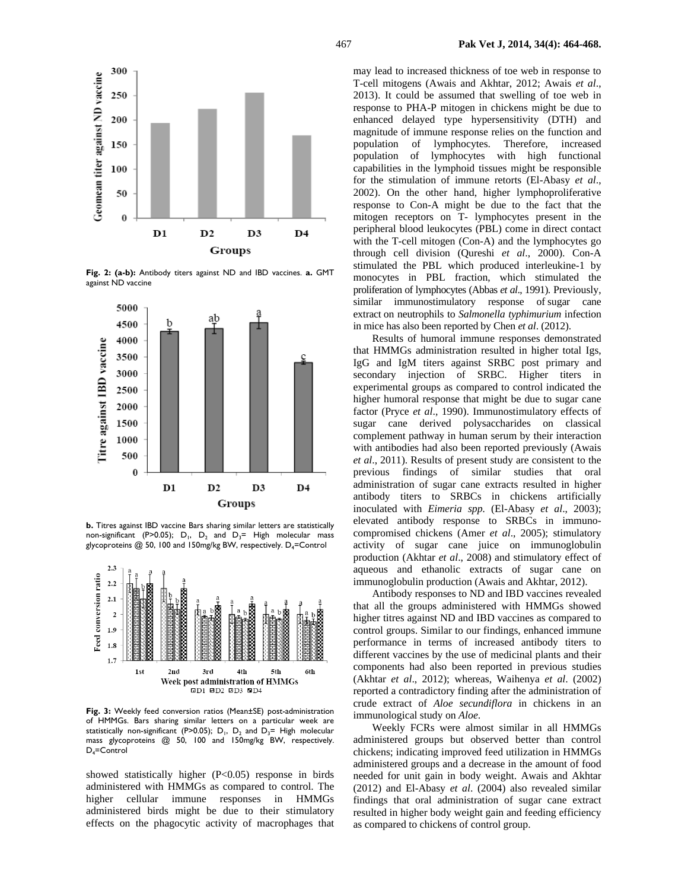

**Fig. 2: (a-b):** Antibody titers against ND and IBD vaccines. **a.** GMT against ND vaccine



**b.** Titres against IBD vaccine Bars sharing similar letters are statistically non-significant (P>0.05); D<sub>1</sub>, D<sub>2</sub> and D<sub>3</sub>= High molecular mass glycoproteins @ 50, 100 and 150mg/kg BW, respectively. D<sub>4</sub>=Control



**Fig. 3:** Weekly feed conversion ratios (Mean±SE) post-administration of HMMGs. Bars sharing similar letters on a particular week are statistically non-significant (P>0.05);  $D_1$ ,  $D_2$  and  $D_3$ = High molecular mass glycoproteins @ 50, 100 and 150mg/kg BW, respectively. D<sub>4</sub>=Control

showed statistically higher (P<0.05) response in birds administered with HMMGs as compared to control. The higher cellular immune responses in HMMGs administered birds might be due to their stimulatory effects on the phagocytic activity of macrophages that may lead to increased thickness of toe web in response to T-cell mitogens (Awais and Akhtar, 2012; Awais *et al*., 2013). It could be assumed that swelling of toe web in response to PHA-P mitogen in chickens might be due to enhanced delayed type hypersensitivity (DTH) and magnitude of immune response relies on the function and population of lymphocytes. Therefore, increased population of lymphocytes with high functional capabilities in the lymphoid tissues might be responsible for the stimulation of immune retorts (El-Abasy *et al*., 2002). On the other hand, higher lymphoproliferative response to Con-A might be due to the fact that the mitogen receptors on T- lymphocytes present in the peripheral blood leukocytes (PBL) come in direct contact with the T-cell mitogen (Con-A) and the lymphocytes go through cell division (Qureshi *et al*., 2000). Con-A stimulated the PBL which produced interleukine-1 by monocytes in PBL fraction, which stimulated the proliferation of lymphocytes (Abbas *et al*., 1991). Previously, similar immunostimulatory response of sugar cane extract on neutrophils to *Salmonella typhimurium* infection in mice has also been reported by Chen *et al*. (2012).

Results of humoral immune responses demonstrated that HMMGs administration resulted in higher total Igs, IgG and IgM titers against SRBC post primary and secondary injection of SRBC. Higher titers in experimental groups as compared to control indicated the higher humoral response that might be due to sugar cane factor (Pryce *et al*., 1990). Immunostimulatory effects of sugar cane derived polysaccharides on classical complement pathway in human serum by their interaction with antibodies had also been reported previously (Awais *et al*., 2011). Results of present study are consistent to the previous findings of similar studies that oral administration of sugar cane extracts resulted in higher antibody titers to SRBCs in chickens artificially inoculated with *Eimeria spp.* (El-Abasy *et al*., 2003); elevated antibody response to SRBCs in immunocompromised chickens (Amer *et al*., 2005); stimulatory activity of sugar cane juice on immunoglobulin production (Akhtar *et al*., 2008) and stimulatory effect of aqueous and ethanolic extracts of sugar cane on immunoglobulin production (Awais and Akhtar, 2012).

Antibody responses to ND and IBD vaccines revealed that all the groups administered with HMMGs showed higher titres against ND and IBD vaccines as compared to control groups. Similar to our findings, enhanced immune performance in terms of increased antibody titers to different vaccines by the use of medicinal plants and their components had also been reported in previous studies (Akhtar *et al*., 2012); whereas, Waihenya *et al*. (2002) reported a contradictory finding after the administration of crude extract of *Aloe secundiflora* in chickens in an immunological study on *Aloe*.

Weekly FCRs were almost similar in all HMMGs administered groups but observed better than control chickens; indicating improved feed utilization in HMMGs administered groups and a decrease in the amount of food needed for unit gain in body weight. Awais and Akhtar (2012) and El-Abasy *et al*. (2004) also revealed similar findings that oral administration of sugar cane extract resulted in higher body weight gain and feeding efficiency as compared to chickens of control group.